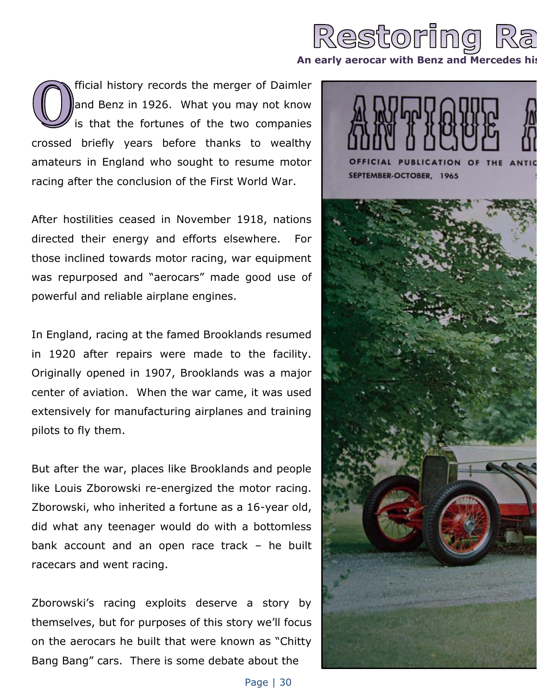

fficial history records the merger of Daimler and Benz in 1926. What you may not know is that the fortunes of the two companies crossed briefly years before thanks to wealthy amateurs in England who sought to resume motor racing after the conclusion of the First World War.

After hostilities ceased in November 1918, nations directed their energy and efforts elsewhere. For those inclined towards motor racing, war equipment was repurposed and "aerocars" made good use of powerful and reliable airplane engines.

In England, racing at the famed Brooklands resumed in 1920 after repairs were made to the facility. Originally opened in 1907, Brooklands was a major center of aviation. When the war came, it was used extensively for manufacturing airplanes and training pilots to fly them.

But after the war, places like Brooklands and people like Louis Zborowski re-energized the motor racing. Zborowski, who inherited a fortune as a 16-year old, did what any teenager would do with a bottomless bank account and an open race track – he built racecars and went racing.

Zborowski's racing exploits deserve a story by themselves, but for purposes of this story we'll focus on the aerocars he built that were known as "Chitty Bang Bang" cars. There is some debate about the

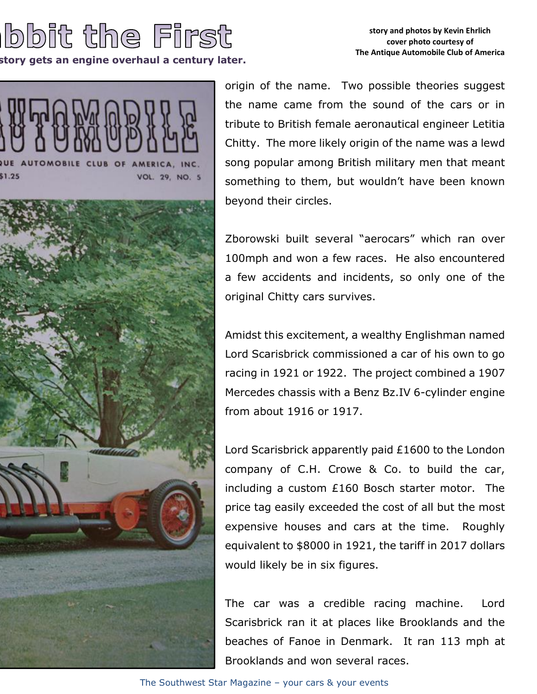## bbit the First

**An Early arts an engine overhaul a century later.** 

## **story and photos by Kevin Ehrlich cover photo courtesy of The Antique Automobile Club of America**



origin of the name. Two possible theories suggest the name came from the sound of the cars or in tribute to British female aeronautical engineer Letitia Chitty. The more likely origin of the name was a lewd song popular among British military men that meant something to them, but wouldn't have been known beyond their circles.

Zborowski built several "aerocars" which ran over 100mph and won a few races. He also encountered a few accidents and incidents, so only one of the original Chitty cars survives.

Amidst this excitement, a wealthy Englishman named Lord Scarisbrick commissioned a car of his own to go racing in 1921 or 1922. The project combined a 1907 Mercedes chassis with a Benz Bz.IV 6-cylinder engine from about 1916 or 1917.

Lord Scarisbrick apparently paid £1600 to the London company of C.H. Crowe & Co. to build the car, including a custom £160 Bosch starter motor. The price tag easily exceeded the cost of all but the most expensive houses and cars at the time. Roughly equivalent to \$8000 in 1921, the tariff in 2017 dollars would likely be in six figures.

The car was a credible racing machine. Lord Scarisbrick ran it at places like Brooklands and the beaches of Fanoe in Denmark. It ran 113 mph at Brooklands and won several races.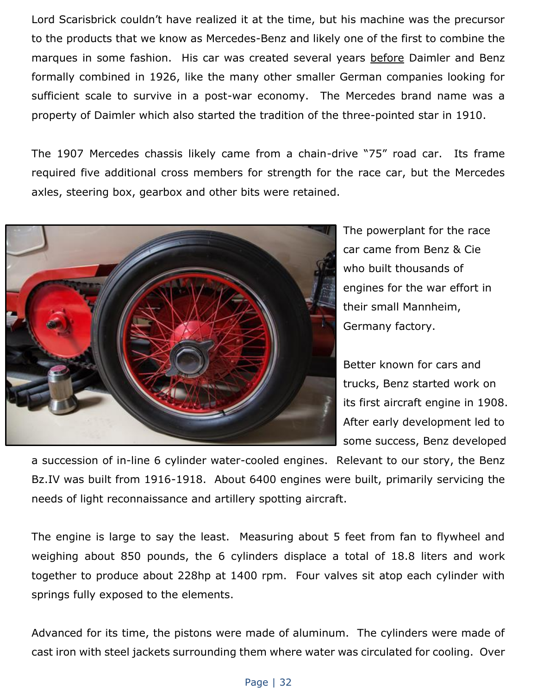Lord Scarisbrick couldn't have realized it at the time, but his machine was the precursor to the products that we know as Mercedes-Benz and likely one of the first to combine the marques in some fashion. His car was created several years before Daimler and Benz formally combined in 1926, like the many other smaller German companies looking for sufficient scale to survive in a post-war economy. The Mercedes brand name was a property of Daimler which also started the tradition of the three-pointed star in 1910.

The 1907 Mercedes chassis likely came from a chain-drive "75" road car. Its frame required five additional cross members for strength for the race car, but the Mercedes axles, steering box, gearbox and other bits were retained.



The powerplant for the race car came from Benz & Cie who built thousands of engines for the war effort in their small Mannheim, Germany factory.

Better known for cars and trucks, Benz started work on its first aircraft engine in 1908. After early development led to some success, Benz developed

a succession of in-line 6 cylinder water-cooled engines. Relevant to our story, the Benz Bz.IV was built from 1916-1918. About 6400 engines were built, primarily servicing the needs of light reconnaissance and artillery spotting aircraft.

The engine is large to say the least. Measuring about 5 feet from fan to flywheel and weighing about 850 pounds, the 6 cylinders displace a total of 18.8 liters and work together to produce about 228hp at 1400 rpm. Four valves sit atop each cylinder with springs fully exposed to the elements.

Advanced for its time, the pistons were made of aluminum. The cylinders were made of cast iron with steel jackets surrounding them where water was circulated for cooling. Over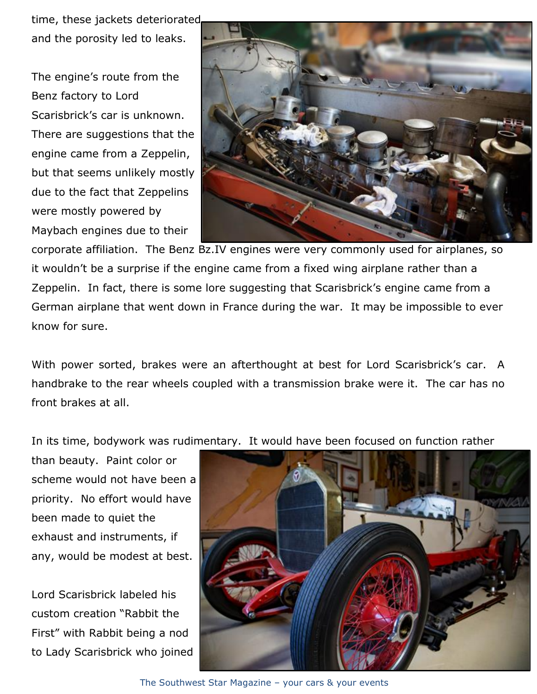time, these jackets deteriorated and the porosity led to leaks.

The engine's route from the Benz factory to Lord Scarisbrick's car is unknown. There are suggestions that the engine came from a Zeppelin, but that seems unlikely mostly due to the fact that Zeppelins were mostly powered by Maybach engines due to their



corporate affiliation. The Benz Bz.IV engines were very commonly used for airplanes, so it wouldn't be a surprise if the engine came from a fixed wing airplane rather than a Zeppelin. In fact, there is some lore suggesting that Scarisbrick's engine came from a German airplane that went down in France during the war. It may be impossible to ever know for sure.

With power sorted, brakes were an afterthought at best for Lord Scarisbrick's car. A handbrake to the rear wheels coupled with a transmission brake were it. The car has no front brakes at all.

In its time, bodywork was rudimentary. It would have been focused on function rather

than beauty. Paint color or scheme would not have been a priority. No effort would have been made to quiet the exhaust and instruments, if any, would be modest at best.

Lord Scarisbrick labeled his custom creation "Rabbit the First" with Rabbit being a nod to Lady Scarisbrick who joined



The Southwest Star Magazine – your cars & your events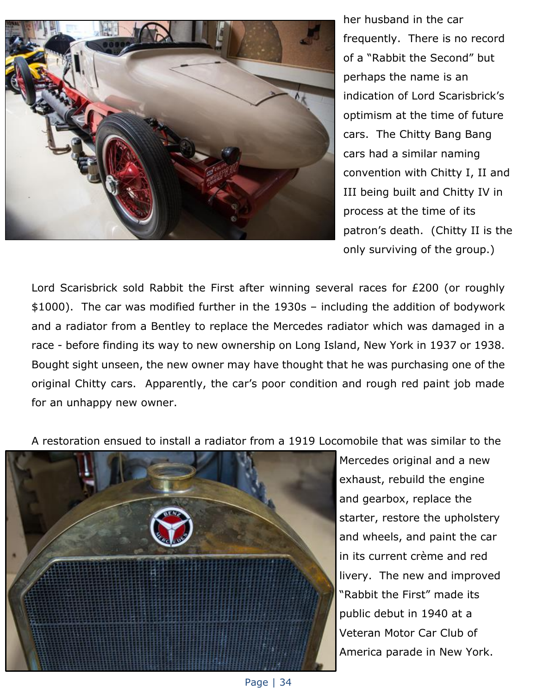

her husband in the car frequently. There is no record of a "Rabbit the Second" but perhaps the name is an indication of Lord Scarisbrick's optimism at the time of future cars. The Chitty Bang Bang cars had a similar naming convention with Chitty I, II and III being built and Chitty IV in process at the time of its patron's death. (Chitty II is the only surviving of the group.)

Lord Scarisbrick sold Rabbit the First after winning several races for £200 (or roughly \$1000). The car was modified further in the 1930s – including the addition of bodywork and a radiator from a Bentley to replace the Mercedes radiator which was damaged in a race - before finding its way to new ownership on Long Island, New York in 1937 or 1938. Bought sight unseen, the new owner may have thought that he was purchasing one of the original Chitty cars. Apparently, the car's poor condition and rough red paint job made for an unhappy new owner.

A restoration ensued to install a radiator from a 1919 Locomobile that was similar to the



Mercedes original and a new exhaust, rebuild the engine and gearbox, replace the starter, restore the upholstery and wheels, and paint the car in its current crème and red livery. The new and improved "Rabbit the First" made its public debut in 1940 at a Veteran Motor Car Club of America parade in New York.

Page | 34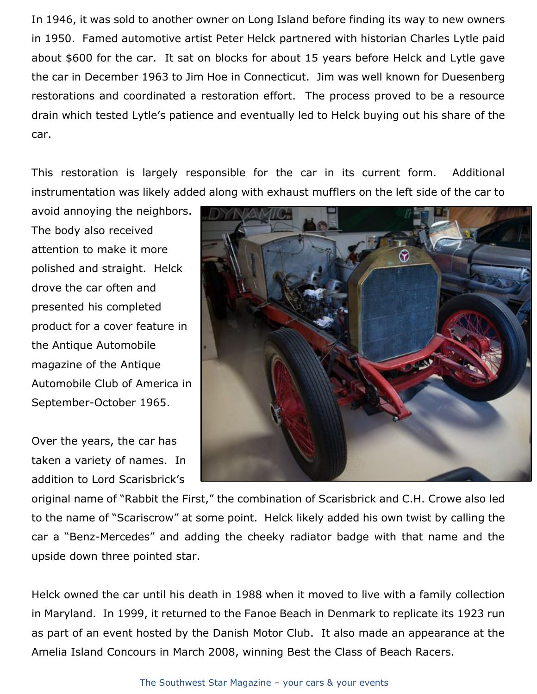In 1946, it was sold to another owner on Long Island before finding its way to new owners in 1950. Famed automotive artist Peter Helck partnered with historian Charles Lytle paid about \$600 for the car. It sat on blocks for about 15 years before Helck and Lytle gave the car in December 1963 to Jim Hoe in Connecticut. Jim was well known for Duesenberg restorations and coordinated a restoration effort. The process proved to be a resource drain which tested Lytle's patience and eventually led to Helck buying out his share of the car.

This restoration is largely responsible for the car in its current form. Additional instrumentation was likely added along with exhaust mufflers on the left side of the car to

avoid annoying the neighbors. The body also received attention to make it more polished and straight. Helck drove the car often and presented his completed product for a cover feature in the Antique Automobile magazine of the Antique Automobile Club of America in September-October 1965.

Over the years, the car has taken a variety of names. In addition to Lord Scarisbrick's



original name of "Rabbit the First," the combination of Scarisbrick and C.H. Crowe also led to the name of "Scariscrow" at some point. Helck likely added his own twist by calling the car a "Benz-Mercedes" and adding the cheeky radiator badge with that name and the upside down three pointed star.

Helck owned the car until his death in 1988 when it moved to live with a family collection in Maryland. In 1999, it returned to the Fanoe Beach in Denmark to replicate its 1923 run as part of an event hosted by the Danish Motor Club. It also made an appearance at the Amelia Island Concours in March 2008, winning Best the Class of Beach Racers.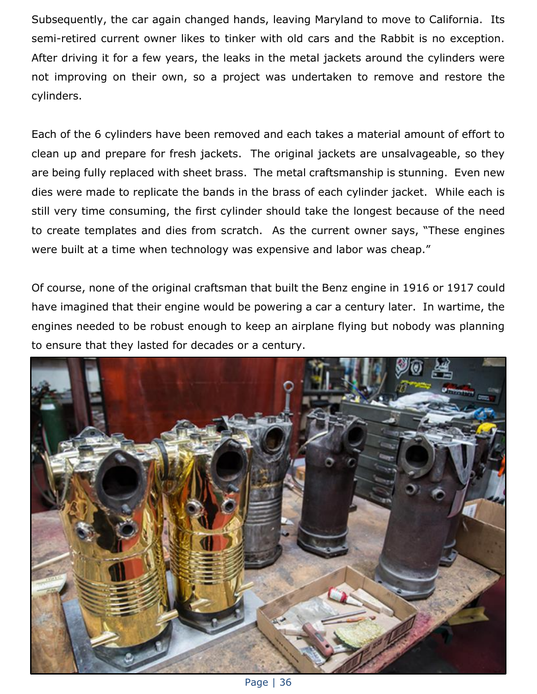Subsequently, the car again changed hands, leaving Maryland to move to California. Its semi-retired current owner likes to tinker with old cars and the Rabbit is no exception. After driving it for a few years, the leaks in the metal jackets around the cylinders were not improving on their own, so a project was undertaken to remove and restore the cylinders.

Each of the 6 cylinders have been removed and each takes a material amount of effort to clean up and prepare for fresh jackets. The original jackets are unsalvageable, so they are being fully replaced with sheet brass. The metal craftsmanship is stunning. Even new dies were made to replicate the bands in the brass of each cylinder jacket. While each is still very time consuming, the first cylinder should take the longest because of the need to create templates and dies from scratch. As the current owner says, "These engines were built at a time when technology was expensive and labor was cheap."

Of course, none of the original craftsman that built the Benz engine in 1916 or 1917 could have imagined that their engine would be powering a car a century later. In wartime, the engines needed to be robust enough to keep an airplane flying but nobody was planning to ensure that they lasted for decades or a century.